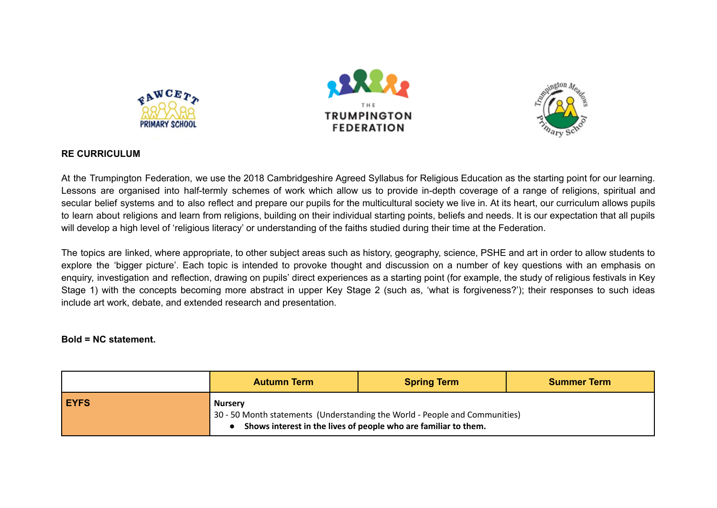





## **RE CURRICULUM**

At the Trumpington Federation, we use the 2018 Cambridgeshire Agreed Syllabus for Religious Education as the starting point for our learning. Lessons are organised into half-termly schemes of work which allow us to provide in-depth coverage of a range of religions, spiritual and secular belief systems and to also reflect and prepare our pupils for the multicultural society we live in. At its heart, our curriculum allows pupils to learn about religions and learn from religions, building on their individual starting points, beliefs and needs. It is our expectation that all pupils will develop a high level of 'religious literacy' or understanding of the faiths studied during their time at the Federation.

The topics are linked, where appropriate, to other subject areas such as history, geography, science, PSHE and art in order to allow students to explore the 'bigger picture'. Each topic is intended to provoke thought and discussion on a number of key questions with an emphasis on enquiry, investigation and reflection, drawing on pupils' direct experiences as a starting point (for example, the study of religious festivals in Key Stage 1) with the concepts becoming more abstract in upper Key Stage 2 (such as, 'what is forgiveness?'); their responses to such ideas include art work, debate, and extended research and presentation.

## **Bold = NC statement.**

|             | <b>Autumn Term</b> | <b>Spring Term</b>                                                                                                                             | Summer Term |
|-------------|--------------------|------------------------------------------------------------------------------------------------------------------------------------------------|-------------|
| <b>EYFS</b> | <b>Nursery</b>     | 30 - 50 Month statements (Understanding the World - People and Communities)<br>Shows interest in the lives of people who are familiar to them. |             |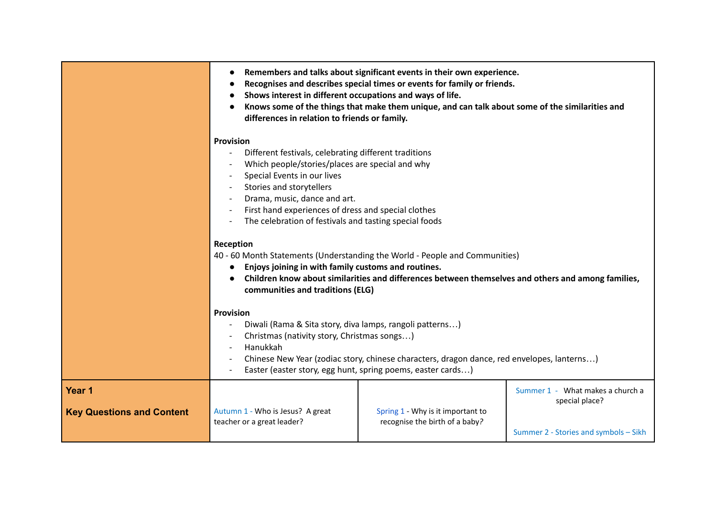|                                            | Remembers and talks about significant events in their own experience.<br>Recognises and describes special times or events for family or friends.<br>Shows interest in different occupations and ways of life.<br>Knows some of the things that make them unique, and can talk about some of the similarities and<br>differences in relation to friends or family. |                                                                     |                                                                                             |
|--------------------------------------------|-------------------------------------------------------------------------------------------------------------------------------------------------------------------------------------------------------------------------------------------------------------------------------------------------------------------------------------------------------------------|---------------------------------------------------------------------|---------------------------------------------------------------------------------------------|
|                                            | <b>Provision</b><br>Different festivals, celebrating different traditions<br>Which people/stories/places are special and why<br>Special Events in our lives<br>Stories and storytellers<br>Drama, music, dance and art.<br>First hand experiences of dress and special clothes<br>The celebration of festivals and tasting special foods                          |                                                                     |                                                                                             |
|                                            | Reception<br>40 - 60 Month Statements (Understanding the World - People and Communities)<br>Enjoys joining in with family customs and routines.<br>$\bullet$<br>Children know about similarities and differences between themselves and others and among families,<br>communities and traditions (ELG)                                                            |                                                                     |                                                                                             |
|                                            | <b>Provision</b><br>Diwali (Rama & Sita story, diva lamps, rangoli patterns)<br>Christmas (nativity story, Christmas songs)<br>Hanukkah<br>$\overline{\phantom{a}}$<br>Chinese New Year (zodiac story, chinese characters, dragon dance, red envelopes, lanterns)<br>Easter (easter story, egg hunt, spring poems, easter cards)                                  |                                                                     |                                                                                             |
| Year 1<br><b>Key Questions and Content</b> | Autumn 1 - Who is Jesus? A great<br>teacher or a great leader?                                                                                                                                                                                                                                                                                                    | Spring 1 - Why is it important to<br>recognise the birth of a baby? | Summer 1 - What makes a church a<br>special place?<br>Summer 2 - Stories and symbols - Sikh |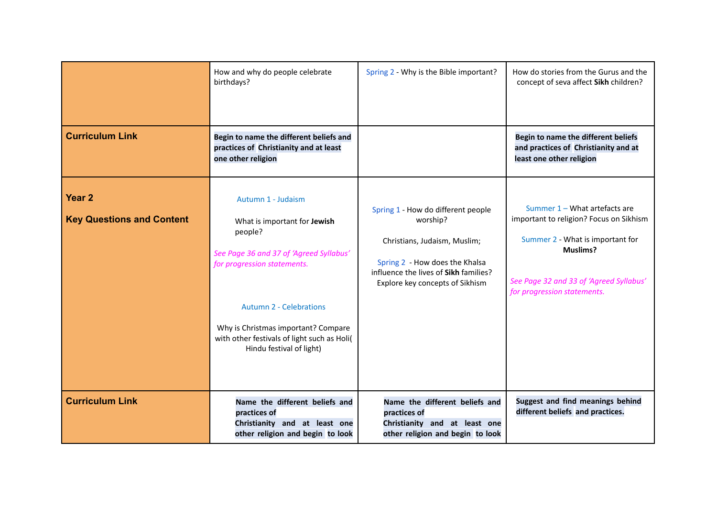| <b>Curriculum Link</b>                                | How and why do people celebrate<br>birthdays?<br>Begin to name the different beliefs and<br>practices of Christianity and at least<br>one other religion                                                                                                                                    | Spring 2 - Why is the Bible important?                                                                                                                                                       | How do stories from the Gurus and the<br>concept of seva affect Sikh children?<br>Begin to name the different beliefs<br>and practices of Christianity and at<br>least one other religion                 |
|-------------------------------------------------------|---------------------------------------------------------------------------------------------------------------------------------------------------------------------------------------------------------------------------------------------------------------------------------------------|----------------------------------------------------------------------------------------------------------------------------------------------------------------------------------------------|-----------------------------------------------------------------------------------------------------------------------------------------------------------------------------------------------------------|
| Year <sub>2</sub><br><b>Key Questions and Content</b> | Autumn 1 - Judaism<br>What is important for Jewish<br>people?<br>See Page 36 and 37 of 'Agreed Syllabus'<br>for progression statements.<br><b>Autumn 2 - Celebrations</b><br>Why is Christmas important? Compare<br>with other festivals of light such as Holi(<br>Hindu festival of light) | Spring 1 - How do different people<br>worship?<br>Christians, Judaism, Muslim;<br>Spring 2 - How does the Khalsa<br>influence the lives of Sikh families?<br>Explore key concepts of Sikhism | Summer 1 - What artefacts are<br>important to religion? Focus on Sikhism<br>Summer 2 - What is important for<br><b>Muslims?</b><br>See Page 32 and 33 of 'Agreed Syllabus'<br>for progression statements. |
| <b>Curriculum Link</b>                                | Name the different beliefs and<br>practices of<br>Christianity and at least one<br>other religion and begin to look                                                                                                                                                                         | Name the different beliefs and<br>practices of<br>Christianity and at least one<br>other religion and begin to look                                                                          | Suggest and find meanings behind<br>different beliefs and practices.                                                                                                                                      |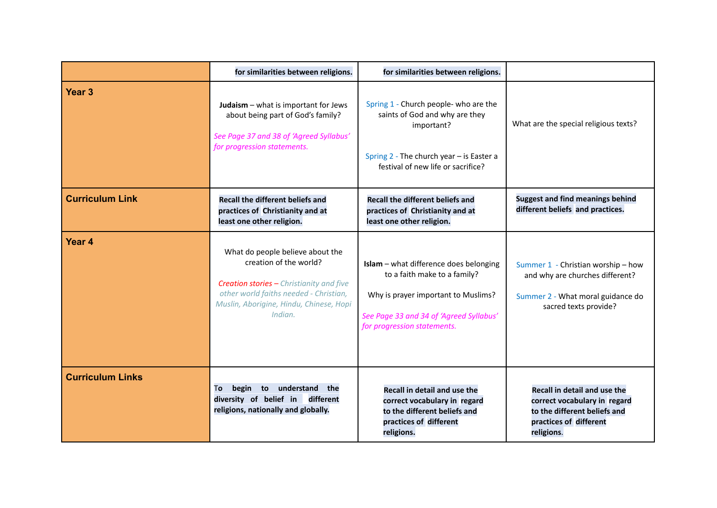|                         | for similarities between religions.                                                                                                                                                                           | for similarities between religions.                                                                                                                                                     |                                                                                                                                      |
|-------------------------|---------------------------------------------------------------------------------------------------------------------------------------------------------------------------------------------------------------|-----------------------------------------------------------------------------------------------------------------------------------------------------------------------------------------|--------------------------------------------------------------------------------------------------------------------------------------|
| Year <sub>3</sub>       | <b>Judaism</b> $-$ what is important for Jews<br>about being part of God's family?<br>See Page 37 and 38 of 'Agreed Syllabus'<br>for progression statements.                                                  | Spring 1 - Church people- who are the<br>saints of God and why are they<br>important?<br>Spring 2 - The church year - is Easter a<br>festival of new life or sacrifice?                 | What are the special religious texts?                                                                                                |
| <b>Curriculum Link</b>  | <b>Recall the different beliefs and</b><br>practices of Christianity and at<br>least one other religion.                                                                                                      | <b>Recall the different beliefs and</b><br>practices of Christianity and at<br>least one other religion.                                                                                | <b>Suggest and find meanings behind</b><br>different beliefs and practices.                                                          |
| Year <sub>4</sub>       | What do people believe about the<br>creation of the world?<br><b>Creation stories - Christianity and five</b><br>other world faiths needed - Christian,<br>Muslin, Aborigine, Hindu, Chinese, Hopi<br>Indian. | Islam - what difference does belonging<br>to a faith make to a family?<br>Why is prayer important to Muslims?<br>See Page 33 and 34 of 'Agreed Syllabus'<br>for progression statements. | Summer 1 - Christian worship - how<br>and why are churches different?<br>Summer 2 - What moral guidance do<br>sacred texts provide?  |
| <b>Curriculum Links</b> | begin<br>understand the<br>To<br>to<br>diversity of belief in<br>different<br>religions, nationally and globally.                                                                                             | Recall in detail and use the<br>correct vocabulary in regard<br>to the different beliefs and<br>practices of different<br>religions.                                                    | Recall in detail and use the<br>correct vocabulary in regard<br>to the different beliefs and<br>practices of different<br>religions. |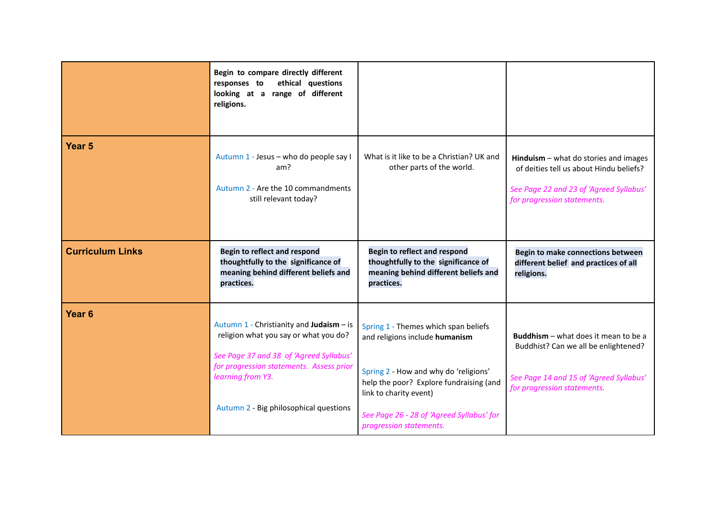|                         | Begin to compare directly different<br>responses to<br>ethical questions<br>looking at a range of different<br>religions.                                                                                                               |                                                                                                                                                                                                                                                              |                                                                                                                                                              |
|-------------------------|-----------------------------------------------------------------------------------------------------------------------------------------------------------------------------------------------------------------------------------------|--------------------------------------------------------------------------------------------------------------------------------------------------------------------------------------------------------------------------------------------------------------|--------------------------------------------------------------------------------------------------------------------------------------------------------------|
| Year <sub>5</sub>       | Autumn 1 - Jesus - who do people say I<br>am?<br>Autumn 2 - Are the 10 commandments<br>still relevant today?                                                                                                                            | What is it like to be a Christian? UK and<br>other parts of the world.                                                                                                                                                                                       | Hinduism $-$ what do stories and images<br>of deities tell us about Hindu beliefs?<br>See Page 22 and 23 of 'Agreed Syllabus'<br>for progression statements. |
| <b>Curriculum Links</b> | <b>Begin to reflect and respond</b><br>thoughtfully to the significance of<br>meaning behind different beliefs and<br>practices.                                                                                                        | <b>Begin to reflect and respond</b><br>thoughtfully to the significance of<br>meaning behind different beliefs and<br>practices.                                                                                                                             | Begin to make connections between<br>different belief and practices of all<br>religions.                                                                     |
| Year <sub>6</sub>       | Autumn 1 - Christianity and Judaism - is<br>religion what you say or what you do?<br>See Page 37 and 38 of 'Agreed Syllabus'<br>for progression statements. Assess prior<br>learning from Y3.<br>Autumn 2 - Big philosophical questions | Spring 1 - Themes which span beliefs<br>and religions include humanism<br>Spring 2 - How and why do 'religions'<br>help the poor? Explore fundraising (and<br>link to charity event)<br>See Page 26 - 28 of 'Agreed Syllabus' for<br>progression statements. | Buddhism - what does it mean to be a<br>Buddhist? Can we all be enlightened?<br>See Page 14 and 15 of 'Agreed Syllabus'<br>for progression statements.       |